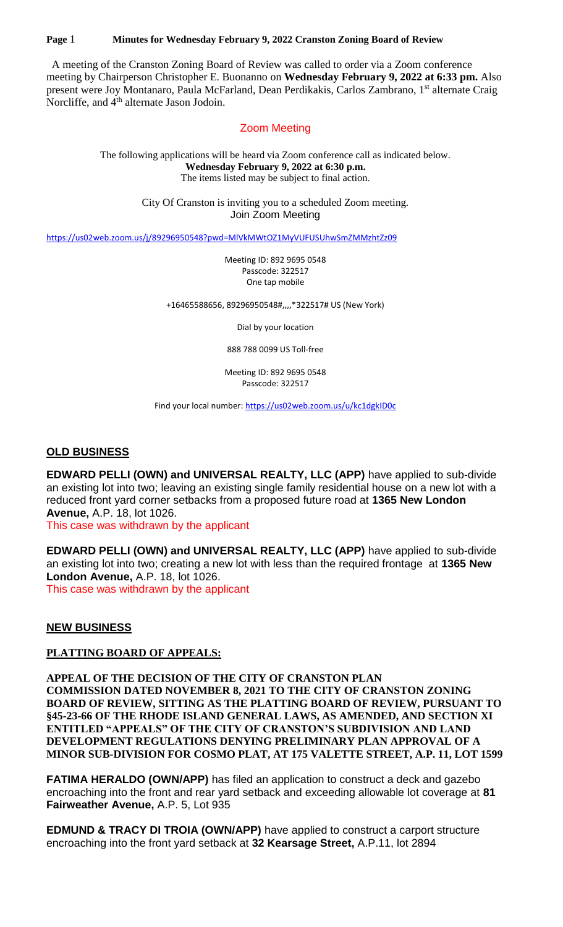**Page** 1 **Minutes for Wednesday February 9, 2022 Cranston Zoning Board of Review**

 A meeting of the Cranston Zoning Board of Review was called to order via a Zoom conference meeting by Chairperson Christopher E. Buonanno on **Wednesday February 9, 2022 at 6:33 pm.** Also present were Joy Montanaro, Paula McFarland, Dean Perdikakis, Carlos Zambrano, 1st alternate Craig Norcliffe, and 4<sup>th</sup> alternate Jason Jodoin.

## Zoom Meeting

The following applications will be heard via Zoom conference call as indicated below. **Wednesday February 9, 2022 at 6:30 p.m.** The items listed may be subject to final action.

> City Of Cranston is inviting you to a scheduled Zoom meeting. Join Zoom Meeting

<https://us02web.zoom.us/j/89296950548?pwd=MlVkMWtOZ1MyVUFUSUhwSmZMMzhtZz09>

Meeting ID: 892 9695 0548 Passcode: 322517 One tap mobile

+16465588656, 89296950548#,,,,\*322517# US (New York)

Dial by your location

888 788 0099 US Toll-free

Meeting ID: 892 9695 0548 Passcode: 322517

Find your local number:<https://us02web.zoom.us/u/kc1dgkID0c>

### **OLD BUSINESS**

**EDWARD PELLI (OWN) and UNIVERSAL REALTY, LLC (APP)** have applied to sub-divide an existing lot into two; leaving an existing single family residential house on a new lot with a reduced front yard corner setbacks from a proposed future road at **1365 New London Avenue,** A.P. 18, lot 1026.

This case was withdrawn by the applicant

**EDWARD PELLI (OWN) and UNIVERSAL REALTY, LLC (APP)** have applied to sub-divide an existing lot into two; creating a new lot with less than the required frontage at **1365 New London Avenue,** A.P. 18, lot 1026. This case was withdrawn by the applicant

#### **NEW BUSINESS**

## **PLATTING BOARD OF APPEALS:**

**APPEAL OF THE DECISION OF THE CITY OF CRANSTON PLAN COMMISSION DATED NOVEMBER 8, 2021 TO THE CITY OF CRANSTON ZONING BOARD OF REVIEW, SITTING AS THE PLATTING BOARD OF REVIEW, PURSUANT TO §45-23-66 OF THE RHODE ISLAND GENERAL LAWS, AS AMENDED, AND SECTION XI ENTITLED "APPEALS" OF THE CITY OF CRANSTON'S SUBDIVISION AND LAND DEVELOPMENT REGULATIONS DENYING PRELIMINARY PLAN APPROVAL OF A MINOR SUB-DIVISION FOR COSMO PLAT, AT 175 VALETTE STREET, A.P. 11, LOT 1599**

**FATIMA HERALDO (OWN/APP)** has filed an application to construct a deck and gazebo encroaching into the front and rear yard setback and exceeding allowable lot coverage at **81 Fairweather Avenue,** A.P. 5, Lot 935

**EDMUND & TRACY DI TROIA (OWN/APP)** have applied to construct a carport structure encroaching into the front yard setback at **32 Kearsage Street,** A.P.11, lot 2894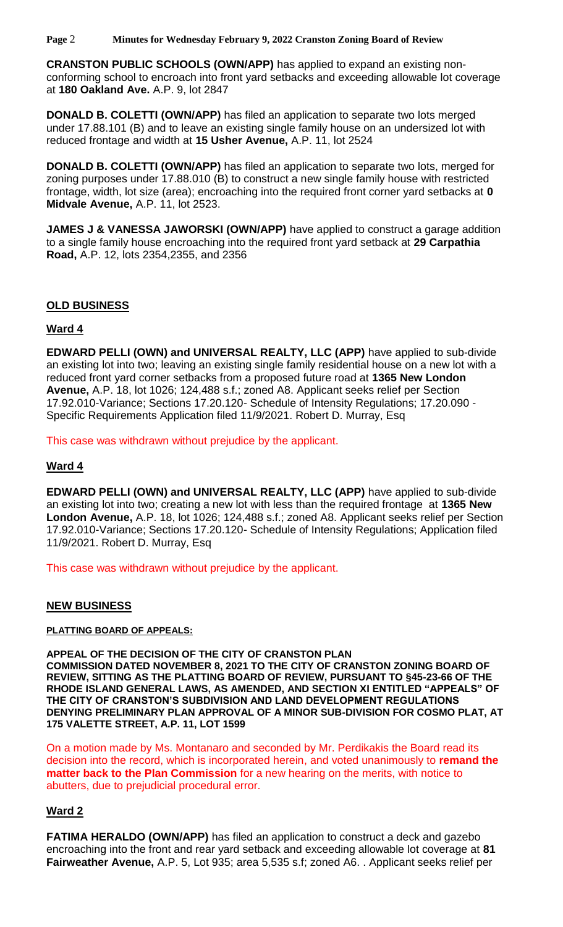**Page** 2 **Minutes for Wednesday February 9, 2022 Cranston Zoning Board of Review**

**CRANSTON PUBLIC SCHOOLS (OWN/APP)** has applied to expand an existing nonconforming school to encroach into front yard setbacks and exceeding allowable lot coverage at **180 Oakland Ave.** A.P. 9, lot 2847

**DONALD B. COLETTI (OWN/APP)** has filed an application to separate two lots merged under 17.88.101 (B) and to leave an existing single family house on an undersized lot with reduced frontage and width at **15 Usher Avenue,** A.P. 11, lot 2524

**DONALD B. COLETTI (OWN/APP)** has filed an application to separate two lots, merged for zoning purposes under 17.88.010 (B) to construct a new single family house with restricted frontage, width, lot size (area); encroaching into the required front corner yard setbacks at **0 Midvale Avenue,** A.P. 11, lot 2523.

**JAMES J & VANESSA JAWORSKI (OWN/APP)** have applied to construct a garage addition to a single family house encroaching into the required front yard setback at **29 Carpathia Road,** A.P. 12, lots 2354,2355, and 2356

# **OLD BUSINESS**

### **Ward 4**

**EDWARD PELLI (OWN) and UNIVERSAL REALTY, LLC (APP)** have applied to sub-divide an existing lot into two; leaving an existing single family residential house on a new lot with a reduced front yard corner setbacks from a proposed future road at **1365 New London Avenue,** A.P. 18, lot 1026; 124,488 s.f.; zoned A8. Applicant seeks relief per Section 17.92.010-Variance; Sections 17.20.120- Schedule of Intensity Regulations; 17.20.090 - Specific Requirements Application filed 11/9/2021. Robert D. Murray, Esq

This case was withdrawn without prejudice by the applicant.

### **Ward 4**

**EDWARD PELLI (OWN) and UNIVERSAL REALTY, LLC (APP)** have applied to sub-divide an existing lot into two; creating a new lot with less than the required frontage at **1365 New London Avenue,** A.P. 18, lot 1026; 124,488 s.f.; zoned A8. Applicant seeks relief per Section 17.92.010-Variance; Sections 17.20.120- Schedule of Intensity Regulations; Application filed 11/9/2021. Robert D. Murray, Esq

This case was withdrawn without prejudice by the applicant.

### **NEW BUSINESS**

#### **PLATTING BOARD OF APPEALS:**

**APPEAL OF THE DECISION OF THE CITY OF CRANSTON PLAN COMMISSION DATED NOVEMBER 8, 2021 TO THE CITY OF CRANSTON ZONING BOARD OF REVIEW, SITTING AS THE PLATTING BOARD OF REVIEW, PURSUANT TO §45-23-66 OF THE RHODE ISLAND GENERAL LAWS, AS AMENDED, AND SECTION XI ENTITLED "APPEALS" OF THE CITY OF CRANSTON'S SUBDIVISION AND LAND DEVELOPMENT REGULATIONS DENYING PRELIMINARY PLAN APPROVAL OF A MINOR SUB-DIVISION FOR COSMO PLAT, AT 175 VALETTE STREET, A.P. 11, LOT 1599**

On a motion made by Ms. Montanaro and seconded by Mr. Perdikakis the Board read its decision into the record, which is incorporated herein, and voted unanimously to **remand the matter back to the Plan Commission** for a new hearing on the merits, with notice to abutters, due to prejudicial procedural error.

### **Ward 2**

**FATIMA HERALDO (OWN/APP)** has filed an application to construct a deck and gazebo encroaching into the front and rear yard setback and exceeding allowable lot coverage at **81 Fairweather Avenue,** A.P. 5, Lot 935; area 5,535 s.f; zoned A6. . Applicant seeks relief per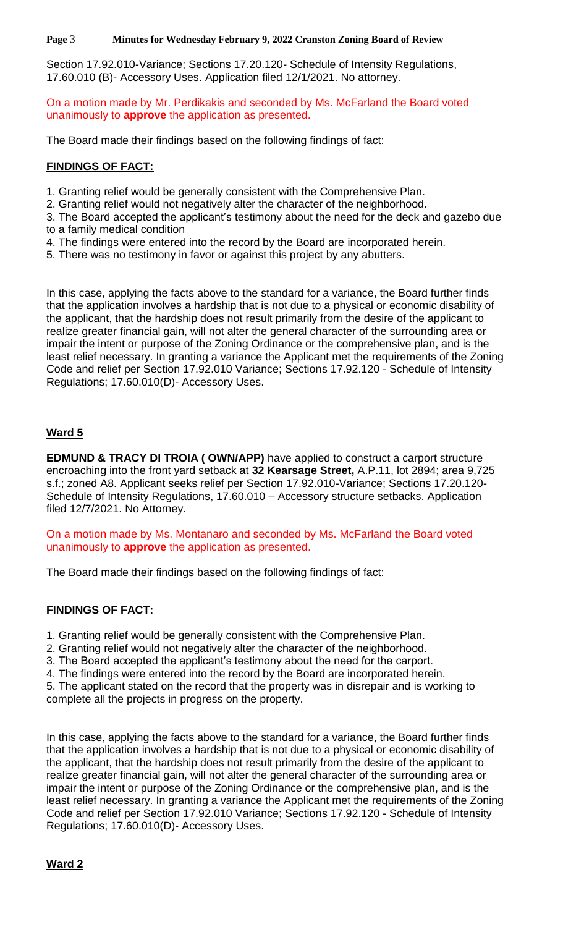**Page** 3 **Minutes for Wednesday February 9, 2022 Cranston Zoning Board of Review**

Section 17.92.010-Variance; Sections 17.20.120- Schedule of Intensity Regulations, 17.60.010 (B)- Accessory Uses. Application filed 12/1/2021. No attorney.

On a motion made by Mr. Perdikakis and seconded by Ms. McFarland the Board voted unanimously to **approve** the application as presented.

The Board made their findings based on the following findings of fact:

## **FINDINGS OF FACT:**

- 1. Granting relief would be generally consistent with the Comprehensive Plan.
- 2. Granting relief would not negatively alter the character of the neighborhood.
- 3. The Board accepted the applicant's testimony about the need for the deck and gazebo due to a family medical condition
- 4. The findings were entered into the record by the Board are incorporated herein.
- 5. There was no testimony in favor or against this project by any abutters.

In this case, applying the facts above to the standard for a variance, the Board further finds that the application involves a hardship that is not due to a physical or economic disability of the applicant, that the hardship does not result primarily from the desire of the applicant to realize greater financial gain, will not alter the general character of the surrounding area or impair the intent or purpose of the Zoning Ordinance or the comprehensive plan, and is the least relief necessary. In granting a variance the Applicant met the requirements of the Zoning Code and relief per Section 17.92.010 Variance; Sections 17.92.120 - Schedule of Intensity Regulations; 17.60.010(D)- Accessory Uses.

## **Ward 5**

**EDMUND & TRACY DI TROIA ( OWN/APP)** have applied to construct a carport structure encroaching into the front yard setback at **32 Kearsage Street,** A.P.11, lot 2894; area 9,725 s.f.; zoned A8. Applicant seeks relief per Section 17.92.010-Variance; Sections 17.20.120- Schedule of Intensity Regulations, 17.60.010 – Accessory structure setbacks. Application filed 12/7/2021. No Attorney.

On a motion made by Ms. Montanaro and seconded by Ms. McFarland the Board voted unanimously to **approve** the application as presented.

The Board made their findings based on the following findings of fact:

### **FINDINGS OF FACT:**

- 1. Granting relief would be generally consistent with the Comprehensive Plan.
- 2. Granting relief would not negatively alter the character of the neighborhood.
- 3. The Board accepted the applicant's testimony about the need for the carport.
- 4. The findings were entered into the record by the Board are incorporated herein.

5. The applicant stated on the record that the property was in disrepair and is working to complete all the projects in progress on the property.

In this case, applying the facts above to the standard for a variance, the Board further finds that the application involves a hardship that is not due to a physical or economic disability of the applicant, that the hardship does not result primarily from the desire of the applicant to realize greater financial gain, will not alter the general character of the surrounding area or impair the intent or purpose of the Zoning Ordinance or the comprehensive plan, and is the least relief necessary. In granting a variance the Applicant met the requirements of the Zoning Code and relief per Section 17.92.010 Variance; Sections 17.92.120 - Schedule of Intensity Regulations; 17.60.010(D)- Accessory Uses.

#### **Ward 2**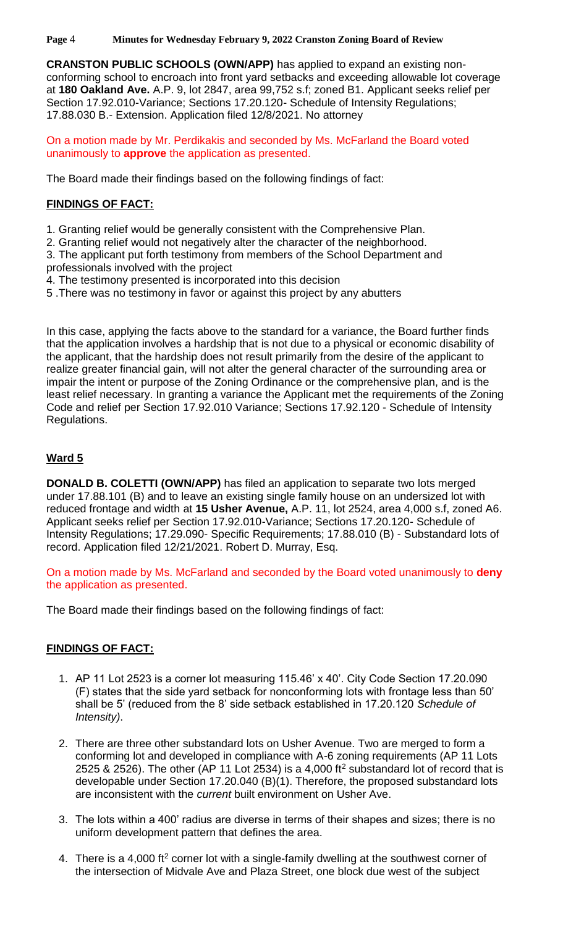**Page** 4 **Minutes for Wednesday February 9, 2022 Cranston Zoning Board of Review**

**CRANSTON PUBLIC SCHOOLS (OWN/APP)** has applied to expand an existing nonconforming school to encroach into front yard setbacks and exceeding allowable lot coverage at **180 Oakland Ave.** A.P. 9, lot 2847, area 99,752 s.f; zoned B1. Applicant seeks relief per Section 17.92.010-Variance; Sections 17.20.120- Schedule of Intensity Regulations; 17.88.030 B.- Extension. Application filed 12/8/2021. No attorney

On a motion made by Mr. Perdikakis and seconded by Ms. McFarland the Board voted unanimously to **approve** the application as presented.

The Board made their findings based on the following findings of fact:

# **FINDINGS OF FACT:**

- 1. Granting relief would be generally consistent with the Comprehensive Plan.
- 2. Granting relief would not negatively alter the character of the neighborhood.
- 3. The applicant put forth testimony from members of the School Department and professionals involved with the project
- 4. The testimony presented is incorporated into this decision
- 5 .There was no testimony in favor or against this project by any abutters

In this case, applying the facts above to the standard for a variance, the Board further finds that the application involves a hardship that is not due to a physical or economic disability of the applicant, that the hardship does not result primarily from the desire of the applicant to realize greater financial gain, will not alter the general character of the surrounding area or impair the intent or purpose of the Zoning Ordinance or the comprehensive plan, and is the least relief necessary. In granting a variance the Applicant met the requirements of the Zoning Code and relief per Section 17.92.010 Variance; Sections 17.92.120 - Schedule of Intensity Regulations.

# **Ward 5**

**DONALD B. COLETTI (OWN/APP)** has filed an application to separate two lots merged under 17.88.101 (B) and to leave an existing single family house on an undersized lot with reduced frontage and width at **15 Usher Avenue,** A.P. 11, lot 2524, area 4,000 s.f, zoned A6. Applicant seeks relief per Section 17.92.010-Variance; Sections 17.20.120- Schedule of Intensity Regulations; 17.29.090- Specific Requirements; 17.88.010 (B) - Substandard lots of record. Application filed 12/21/2021. Robert D. Murray, Esq.

On a motion made by Ms. McFarland and seconded by the Board voted unanimously to **deny** the application as presented.

The Board made their findings based on the following findings of fact:

# **FINDINGS OF FACT:**

- 1. AP 11 Lot 2523 is a corner lot measuring 115.46' x 40'. City Code Section 17.20.090 (F) states that the side yard setback for nonconforming lots with frontage less than 50' shall be 5' (reduced from the 8' side setback established in 17.20.120 *Schedule of Intensity)*.
- 2. There are three other substandard lots on Usher Avenue. Two are merged to form a conforming lot and developed in compliance with A-6 zoning requirements (AP 11 Lots 2525 & 2526). The other (AP 11 Lot 2534) is a 4,000 ft<sup>2</sup> substandard lot of record that is developable under Section 17.20.040 (B)(1). Therefore, the proposed substandard lots are inconsistent with the *current* built environment on Usher Ave.
- 3. The lots within a 400' radius are diverse in terms of their shapes and sizes; there is no uniform development pattern that defines the area.
- 4. There is a 4,000 ft<sup>2</sup> corner lot with a single-family dwelling at the southwest corner of the intersection of Midvale Ave and Plaza Street, one block due west of the subject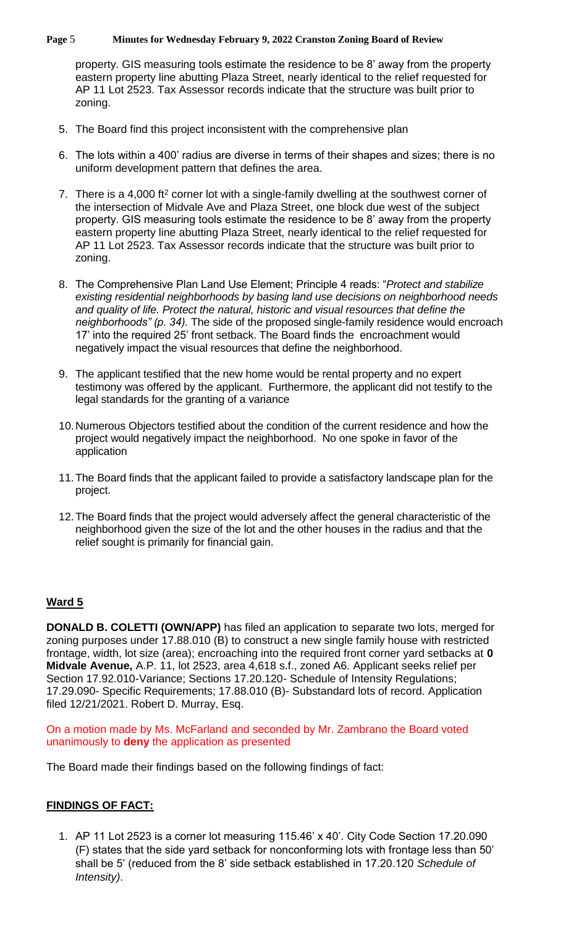### **Page** 5 **Minutes for Wednesday February 9, 2022 Cranston Zoning Board of Review**

property. GIS measuring tools estimate the residence to be 8' away from the property eastern property line abutting Plaza Street, nearly identical to the relief requested for AP 11 Lot 2523. Tax Assessor records indicate that the structure was built prior to zoning.

- 5. The Board find this project inconsistent with the comprehensive plan
- 6. The lots within a 400' radius are diverse in terms of their shapes and sizes; there is no uniform development pattern that defines the area.
- 7. There is a 4,000 ft<sup>2</sup> corner lot with a single-family dwelling at the southwest corner of the intersection of Midvale Ave and Plaza Street, one block due west of the subject property. GIS measuring tools estimate the residence to be 8' away from the property eastern property line abutting Plaza Street, nearly identical to the relief requested for AP 11 Lot 2523. Tax Assessor records indicate that the structure was built prior to zoning.
- 8. The Comprehensive Plan Land Use Element; Principle 4 reads: "*Protect and stabilize existing residential neighborhoods by basing land use decisions on neighborhood needs and quality of life. Protect the natural, historic and visual resources that define the neighborhoods" (p. 34).* The side of the proposed single-family residence would encroach 17' into the required 25' front setback. The Board finds the encroachment would negatively impact the visual resources that define the neighborhood.
- 9. The applicant testified that the new home would be rental property and no expert testimony was offered by the applicant. Furthermore, the applicant did not testify to the legal standards for the granting of a variance
- 10.Numerous Objectors testified about the condition of the current residence and how the project would negatively impact the neighborhood. No one spoke in favor of the application
- 11.The Board finds that the applicant failed to provide a satisfactory landscape plan for the project.
- 12.The Board finds that the project would adversely affect the general characteristic of the neighborhood given the size of the lot and the other houses in the radius and that the relief sought is primarily for financial gain.

# **Ward 5**

**DONALD B. COLETTI (OWN/APP)** has filed an application to separate two lots, merged for zoning purposes under 17.88.010 (B) to construct a new single family house with restricted frontage, width, lot size (area); encroaching into the required front corner yard setbacks at **0 Midvale Avenue,** A.P. 11, lot 2523, area 4,618 s.f., zoned A6. Applicant seeks relief per Section 17.92.010-Variance; Sections 17.20.120- Schedule of Intensity Regulations; 17.29.090- Specific Requirements; 17.88.010 (B)- Substandard lots of record. Application filed 12/21/2021. Robert D. Murray, Esq.

On a motion made by Ms. McFarland and seconded by Mr. Zambrano the Board voted unanimously to **deny** the application as presented

The Board made their findings based on the following findings of fact:

# **FINDINGS OF FACT:**

1. AP 11 Lot 2523 is a corner lot measuring 115.46' x 40'. City Code Section 17.20.090 (F) states that the side yard setback for nonconforming lots with frontage less than 50' shall be 5' (reduced from the 8' side setback established in 17.20.120 *Schedule of Intensity)*.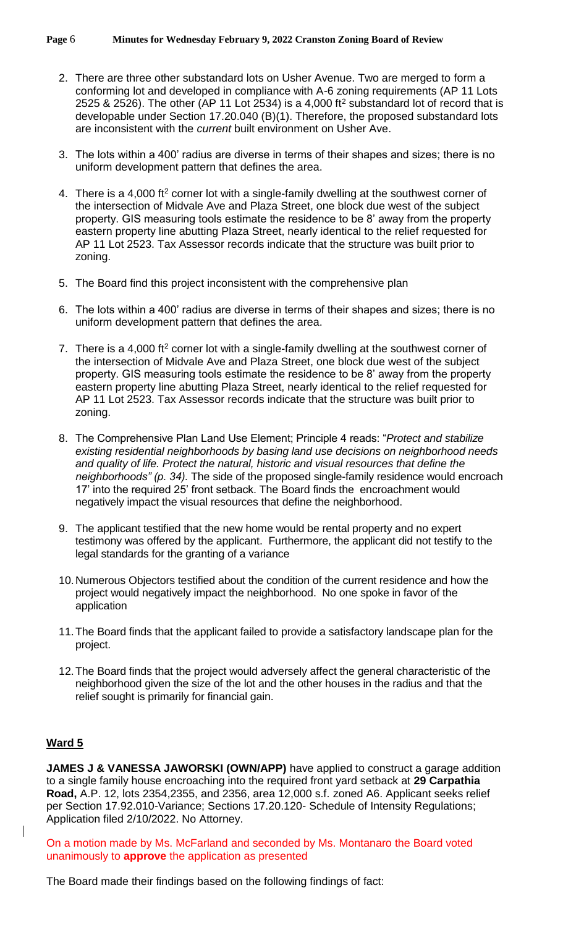- 2. There are three other substandard lots on Usher Avenue. Two are merged to form a conforming lot and developed in compliance with A-6 zoning requirements (AP 11 Lots 2525 & 2526). The other (AP 11 Lot 2534) is a 4,000 ft<sup>2</sup> substandard lot of record that is developable under Section 17.20.040 (B)(1). Therefore, the proposed substandard lots are inconsistent with the *current* built environment on Usher Ave.
- 3. The lots within a 400' radius are diverse in terms of their shapes and sizes; there is no uniform development pattern that defines the area.
- 4. There is a 4,000 ft<sup>2</sup> corner lot with a single-family dwelling at the southwest corner of the intersection of Midvale Ave and Plaza Street, one block due west of the subject property. GIS measuring tools estimate the residence to be 8' away from the property eastern property line abutting Plaza Street, nearly identical to the relief requested for AP 11 Lot 2523. Tax Assessor records indicate that the structure was built prior to zoning.
- 5. The Board find this project inconsistent with the comprehensive plan
- 6. The lots within a 400' radius are diverse in terms of their shapes and sizes; there is no uniform development pattern that defines the area.
- 7. There is a 4,000 ft<sup>2</sup> corner lot with a single-family dwelling at the southwest corner of the intersection of Midvale Ave and Plaza Street, one block due west of the subject property. GIS measuring tools estimate the residence to be 8' away from the property eastern property line abutting Plaza Street, nearly identical to the relief requested for AP 11 Lot 2523. Tax Assessor records indicate that the structure was built prior to zoning.
- 8. The Comprehensive Plan Land Use Element; Principle 4 reads: "*Protect and stabilize existing residential neighborhoods by basing land use decisions on neighborhood needs and quality of life. Protect the natural, historic and visual resources that define the neighborhoods" (p. 34).* The side of the proposed single-family residence would encroach 17' into the required 25' front setback. The Board finds the encroachment would negatively impact the visual resources that define the neighborhood.
- 9. The applicant testified that the new home would be rental property and no expert testimony was offered by the applicant. Furthermore, the applicant did not testify to the legal standards for the granting of a variance
- 10.Numerous Objectors testified about the condition of the current residence and how the project would negatively impact the neighborhood. No one spoke in favor of the application
- 11.The Board finds that the applicant failed to provide a satisfactory landscape plan for the project.
- 12.The Board finds that the project would adversely affect the general characteristic of the neighborhood given the size of the lot and the other houses in the radius and that the relief sought is primarily for financial gain.

# **Ward 5**

 $\mathbf{I}$ 

**JAMES J & VANESSA JAWORSKI (OWN/APP)** have applied to construct a garage addition to a single family house encroaching into the required front yard setback at **29 Carpathia Road,** A.P. 12, lots 2354,2355, and 2356, area 12,000 s.f. zoned A6. Applicant seeks relief per Section 17.92.010-Variance; Sections 17.20.120- Schedule of Intensity Regulations; Application filed 2/10/2022. No Attorney.

On a motion made by Ms. McFarland and seconded by Ms. Montanaro the Board voted unanimously to **approve** the application as presented

The Board made their findings based on the following findings of fact: